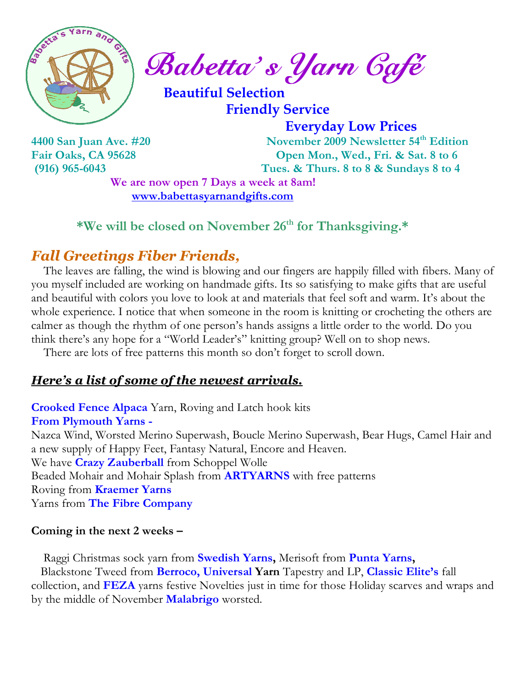

 $\int_{a}^{\frac{1}{2}} \mathbb{R}^{n} \cdot \mathbb{R}^{n}$  Babetta's Yarn Gafé

 Beautiful Selection Friendly Service

Everyday Low Prices

4400 San Juan Ave. #20 November 2009 Newsletter 54<sup>th</sup> Edition Fair Oaks, CA 95628 Open Mon., Wed., Fri. & Sat. 8 to 6 (916) 965-6043 Tues. & Thurs. 8 to 8 & Sundays 8 to 4

> We are now open 7 Days a week at 8am! www.babettasyarnandgifts.com

\*We will be closed on November 26<sup>th</sup> for Thanksgiving.\*

## Fall Greetings Fiber Friends,

 The leaves are falling, the wind is blowing and our fingers are happily filled with fibers. Many of you myself included are working on handmade gifts. Its so satisfying to make gifts that are useful and beautiful with colors you love to look at and materials that feel soft and warm. It's about the whole experience. I notice that when someone in the room is knitting or crocheting the others are calmer as though the rhythm of one person's hands assigns a little order to the world. Do you think there's any hope for a "World Leader's" knitting group? Well on to shop news.

There are lots of free patterns this month so don't forget to scroll down.

### Here's a list of some of the newest arrivals.

Crooked Fence Alpaca Yarn, Roving and Latch hook kits From Plymouth Yarns - Nazca Wind, Worsted Merino Superwash, Boucle Merino Superwash, Bear Hugs, Camel Hair and

a new supply of Happy Feet, Fantasy Natural, Encore and Heaven. We have **Crazy Zauberball** from Schoppel Wolle Beaded Mohair and Mohair Splash from **ARTYARNS** with free patterns Roving from Kraemer Yarns Yarns from The Fibre Company

#### Coming in the next 2 weeks –

Raggi Christmas sock yarn from Swedish Yarns, Merisoft from Punta Yarns, Blackstone Tweed from **Berroco, Universal Yarn** Tapestry and LP, **Classic Elite's** fall collection, and FEZA yarns festive Novelties just in time for those Holiday scarves and wraps and by the middle of November Malabrigo worsted.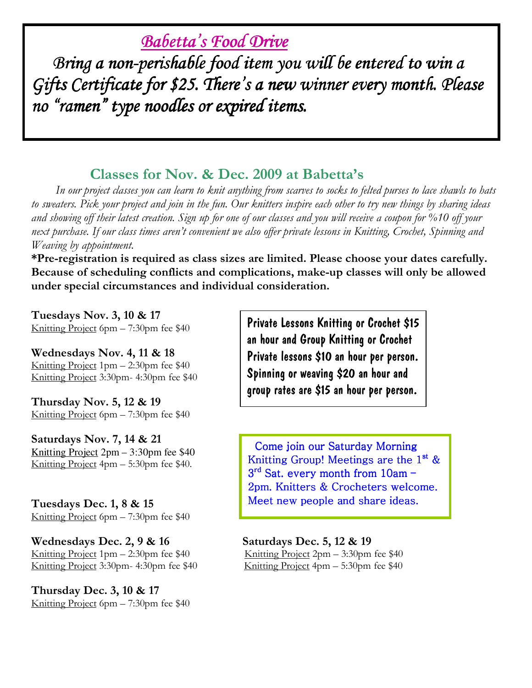# Babetta's Food Drive

Bring a non-perishable food item you will be entered to win a Gifts Certificate for \$25. There's a new winner every month. Please no "ramen" type noodles or expired items.

### Classes for Nov. & Dec. 2009 at Babetta's

 In our project classes you can learn to knit anything from scarves to socks to felted purses to lace shawls to hats to sweaters. Pick your project and join in the fun. Our knitters inspire each other to try new things by sharing ideas and showing off their latest creation. Sign up for one of our classes and you will receive a coupon for %10 off your next purchase. If our class times aren't convenient we also offer private lessons in Knitting, Crochet, Spinning and Weaving by appointment.

\*Pre-registration is required as class sizes are limited. Please choose your dates carefully. Because of scheduling conflicts and complications, make-up classes will only be allowed under special circumstances and individual consideration.

Tuesdays Nov. 3, 10 & 17 Knitting Project 6pm – 7:30pm fee \$40

l

Wednesdays Nov. 4, 11 & 18 Knitting Project 1pm – 2:30pm fee \$40 Knitting Project 3:30pm- 4:30pm fee \$40

Thursday Nov. 5, 12 & 19 Knitting Project 6pm – 7:30pm fee \$40

Saturdays Nov. 7, 14 & 21 Knitting Project 2pm – 3:30pm fee \$40 Knitting Project 4pm – 5:30pm fee \$40.

Tuesdays Dec. 1, 8 & 15 Knitting Project 6pm – 7:30pm fee \$40

Wednesdays Dec. 2,  $9 \& 16$  Saturdays Dec. 5, 12  $\& 19$ Knitting Project 1pm – 2:30pm fee \$40 Knitting Project 2pm – 3:30pm fee \$40 Knitting Project 3:30pm- 4:30pm fee \$40 Knitting Project 4pm – 5:30pm fee \$40

Thursday Dec. 3, 10 & 17 Knitting Project 6pm – 7:30pm fee \$40

Private Lessons Knitting or Crochet \$15 an hour and Group Knitting or Crochet Private lessons \$10 an hour per person. Spinning or weaving \$20 an hour and group rates are \$15 an hour per person.

 Come join our Saturday Morning Knitting Group! Meetings are the  $1<sup>st</sup>$  &  $3<sup>rd</sup>$  Sat. every month from  $10am -$ 2pm. Knitters & Crocheters welcome. Meet new people and share ideas.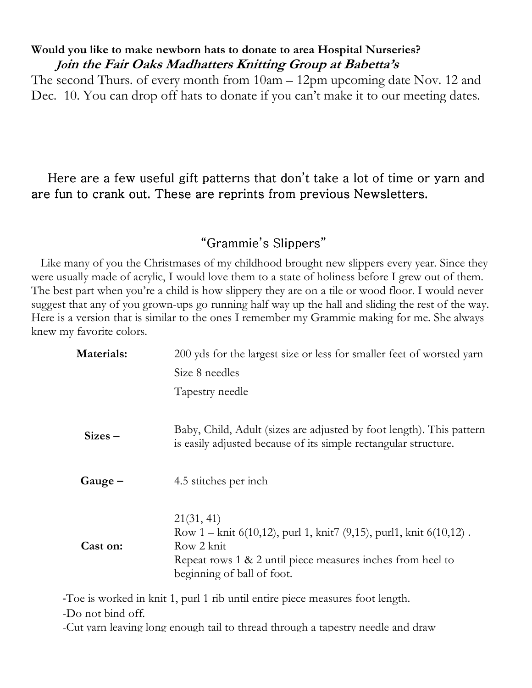#### Would you like to make newborn hats to donate to area Hospital Nurseries? Join the Fair Oaks Madhatters Knitting Group at Babetta's

The second Thurs. of every month from 10am – 12pm upcoming date Nov. 12 and Dec. 10. You can drop off hats to donate if you can't make it to our meeting dates.

### Here are a few useful gift patterns that don't take a lot of time or yarn and are fun to crank out. These are reprints from previous Newsletters.

#### "Grammie's Slippers"

 Like many of you the Christmases of my childhood brought new slippers every year. Since they were usually made of acrylic, I would love them to a state of holiness before I grew out of them. The best part when you're a child is how slippery they are on a tile or wood floor. I would never suggest that any of you grown-ups go running half way up the hall and sliding the rest of the way. Here is a version that is similar to the ones I remember my Grammie making for me. She always knew my favorite colors.

| Materials:       | 200 yds for the largest size or less for smaller feet of worsted yarn                                                                                                                                |
|------------------|------------------------------------------------------------------------------------------------------------------------------------------------------------------------------------------------------|
|                  | Size 8 needles                                                                                                                                                                                       |
|                  | Tapestry needle                                                                                                                                                                                      |
| $\text{Sizes}$ – | Baby, Child, Adult (sizes are adjusted by foot length). This pattern<br>is easily adjusted because of its simple rectangular structure.                                                              |
| Gauge –          | 4.5 stitches per inch                                                                                                                                                                                |
| Cast on:         | 21(31, 41)<br>Row 1 – knit $6(10,12)$ , purl 1, knit $7(9,15)$ , purl 1, knit $6(10,12)$ .<br>Row 2 knit<br>Repeat rows 1 & 2 until piece measures inches from heel to<br>beginning of ball of foot. |

-Toe is worked in knit 1, purl 1 rib until entire piece measures foot length.

-Do not bind off.

-Cut yarn leaving long enough tail to thread through a tapestry needle and draw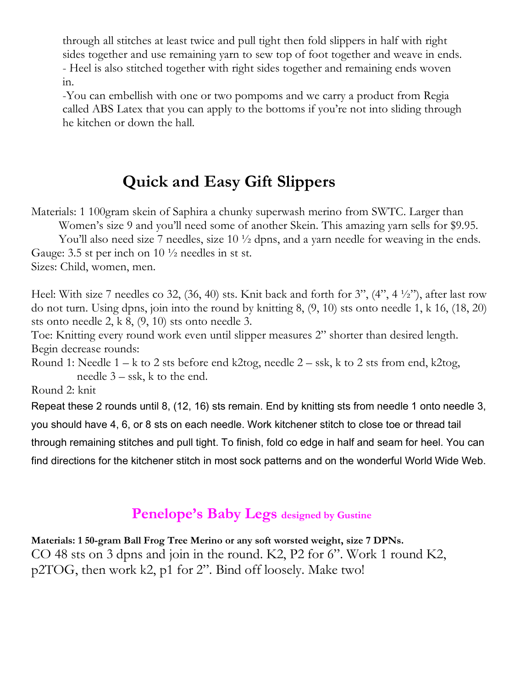through all stitches at least twice and pull tight then fold slippers in half with right sides together and use remaining yarn to sew top of foot together and weave in ends. - Heel is also stitched together with right sides together and remaining ends woven in.

-You can embellish with one or two pompoms and we carry a product from Regia called ABS Latex that you can apply to the bottoms if you're not into sliding through he kitchen or down the hall.

# Quick and Easy Gift Slippers

Materials: 1 100gram skein of Saphira a chunky superwash merino from SWTC. Larger than Women's size 9 and you'll need some of another Skein. This amazing yarn sells for \$9.95.

You'll also need size 7 needles, size 10  $\frac{1}{2}$  dpns, and a yarn needle for weaving in the ends. Gauge: 3.5 st per inch on  $10\frac{1}{2}$  needles in st st.

Sizes: Child, women, men.

Heel: With size 7 needles co 32, (36, 40) sts. Knit back and forth for 3", (4", 4 ½"), after last row do not turn. Using dpns, join into the round by knitting 8, (9, 10) sts onto needle 1, k 16, (18, 20) sts onto needle 2, k 8, (9, 10) sts onto needle 3.

Toe: Knitting every round work even until slipper measures 2" shorter than desired length. Begin decrease rounds:

Round 1: Needle  $1 - k$  to 2 sts before end k2tog, needle  $2 - s$ sk, k to 2 sts from end, k2tog, needle 3 – ssk, k to the end.

Round 2: knit

Repeat these 2 rounds until 8, (12, 16) sts remain. End by knitting sts from needle 1 onto needle 3,

you should have 4, 6, or 8 sts on each needle. Work kitchener stitch to close toe or thread tail

through remaining stitches and pull tight. To finish, fold co edge in half and seam for heel. You can

find directions for the kitchener stitch in most sock patterns and on the wonderful World Wide Web.

## Penelope's Baby Legs designed by Gustine

Materials: 1 50-gram Ball Frog Tree Merino or any soft worsted weight, size 7 DPNs.

CO 48 sts on 3 dpns and join in the round. K2, P2 for 6". Work 1 round K2, p2TOG, then work k2, p1 for 2". Bind off loosely. Make two!